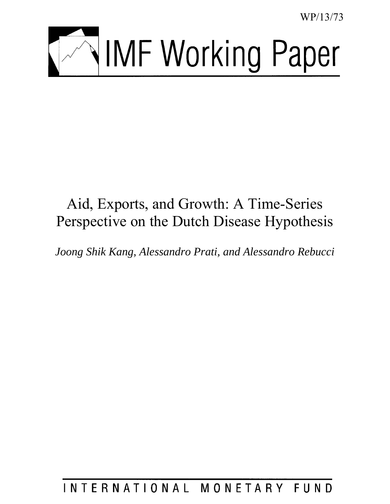WP/13/73



# Aid, Exports, and Growth: A Time-Series Perspective on the Dutch Disease Hypothesis

*Joong Shik Kang, Alessandro Prati, and Alessandro Rebucci* 

INTERNATIONAL MONETARY FUND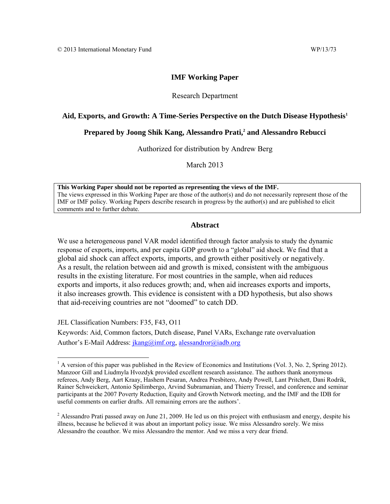# **IMF Working Paper**

# Research Department

#### **Aid, Exports, and Growth: A Time-Series Perspective on the Dutch Disease Hypothesis<sup>1</sup>**

#### **Prepared by Joong Shik Kang, Alessandro Prati,<sup>2</sup> and Alessandro Rebucci**

Authorized for distribution by Andrew Berg

March 2013

**This Working Paper should not be reported as representing the views of the IMF.** The views expressed in this Working Paper are those of the author(s) and do not necessarily represent those of the IMF or IMF policy. Working Papers describe research in progress by the author(s) and are published to elicit comments and to further debate.

#### **Abstract**

We use a heterogeneous panel VAR model identified through factor analysis to study the dynamic response of exports, imports, and per capita GDP growth to a "global" aid shock. We find that a global aid shock can affect exports, imports, and growth either positively or negatively. As a result, the relation between aid and growth is mixed, consistent with the ambiguous results in the existing literature. For most countries in the sample, when aid reduces exports and imports, it also reduces growth; and, when aid increases exports and imports, it also increases growth. This evidence is consistent with a DD hypothesis, but also shows that aid-receiving countries are not "doomed" to catch DD.

JEL Classification Numbers: F35, F43, O11

Keywords: Aid, Common factors, Dutch disease, Panel VARs, Exchange rate overvaluation Author's E-Mail Address: *jkang@imf.org, [alessandror@iadb.org](mailto:alessandror@iadb.org)* 

<sup>&</sup>lt;sup>1</sup> A version of this paper was published in the Review of Economics and Institutions (Vol. 3, No. 2, Spring 2012). Manzoor Gill and Liudmyla Hvozdyk provided excellent research assistance. The authors thank anonymous referees, Andy Berg, Aart Kraay, Hashem Pesaran, Andrea Presbitero, Andy Powell, Lant Pritchett, Dani Rodrik, Rainer Schweickert, Antonio Spilimbergo, Arvind Subramanian, and Thierry Tressel, and conference and seminar participants at the 2007 Poverty Reduction, Equity and Growth Network meeting, and the IMF and the IDB for useful comments on earlier drafts. All remaining errors are the authors'.

<sup>&</sup>lt;sup>2</sup> Alessandro Prati passed away on June 21, 2009. He led us on this project with enthusiasm and energy, despite his illness, because he believed it was about an important policy issue. We miss Alessandro sorely. We miss Alessandro the coauthor. We miss Alessandro the mentor. And we miss a very dear friend.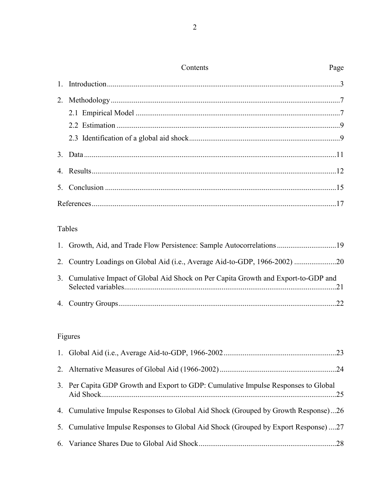| Contents | Page |
|----------|------|
|          |      |
|          |      |
|          |      |
|          |      |
|          |      |
|          |      |
|          |      |
|          |      |
|          |      |

# Tables

| 3. Cumulative Impact of Global Aid Shock on Per Capita Growth and Export-to-GDP and |  |
|-------------------------------------------------------------------------------------|--|
|                                                                                     |  |

# Figures

| 3. Per Capita GDP Growth and Export to GDP: Cumulative Impulse Responses to Global |
|------------------------------------------------------------------------------------|
| 4. Cumulative Impulse Responses to Global Aid Shock (Grouped by Growth Response)26 |
| 5. Cumulative Impulse Responses to Global Aid Shock (Grouped by Export Response)27 |
|                                                                                    |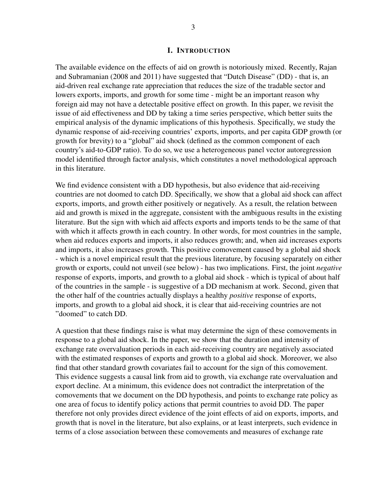#### I. INTRODUCTION

The available evidence on the effects of aid on growth is notoriously mixed. Recently, Rajan and Subramanian (2008 and 2011) have suggested that "Dutch Disease" (DD) - that is, an aid-driven real exchange rate appreciation that reduces the size of the tradable sector and lowers exports, imports, and growth for some time - might be an important reason why foreign aid may not have a detectable positive effect on growth. In this paper, we revisit the issue of aid effectiveness and DD by taking a time series perspective, which better suits the empirical analysis of the dynamic implications of this hypothesis. Specifically, we study the dynamic response of aid-receiving countries' exports, imports, and per capita GDP growth (or growth for brevity) to a "global" aid shock (defined as the common component of each country's aid-to-GDP ratio). To do so, we use a heterogeneous panel vector autoregression model identified through factor analysis, which constitutes a novel methodological approach in this literature.

We find evidence consistent with a DD hypothesis, but also evidence that aid-receiving countries are not doomed to catch DD. Specifically, we show that a global aid shock can affect exports, imports, and growth either positively or negatively. As a result, the relation between aid and growth is mixed in the aggregate, consistent with the ambiguous results in the existing literature. But the sign with which aid affects exports and imports tends to be the same of that with which it affects growth in each country. In other words, for most countries in the sample, when aid reduces exports and imports, it also reduces growth; and, when aid increases exports and imports, it also increases growth. This positive comovement caused by a global aid shock - which is a novel empirical result that the previous literature, by focusing separately on either growth or exports, could not unveil (see below) - has two implications. First, the joint *negative* response of exports, imports, and growth to a global aid shock - which is typical of about half of the countries in the sample - is suggestive of a DD mechanism at work. Second, given that the other half of the countries actually displays a healthy *positive* response of exports, imports, and growth to a global aid shock, it is clear that aid-receiving countries are not "doomed" to catch DD.

A question that these findings raise is what may determine the sign of these comovements in response to a global aid shock. In the paper, we show that the duration and intensity of exchange rate overvaluation periods in each aid-receiving country are negatively associated with the estimated responses of exports and growth to a global aid shock. Moreover, we also find that other standard growth covariates fail to account for the sign of this comovement. This evidence suggests a causal link from aid to growth, via exchange rate overvaluation and export decline. At a minimum, this evidence does not contradict the interpretation of the comovements that we document on the DD hypothesis, and points to exchange rate policy as one area of focus to identify policy actions that permit countries to avoid DD. The paper therefore not only provides direct evidence of the joint effects of aid on exports, imports, and growth that is novel in the literature, but also explains, or at least interprets, such evidence in terms of a close association between these comovements and measures of exchange rate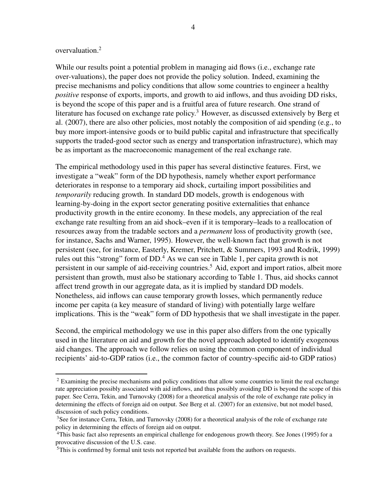# overvaluation.<sup>2</sup>

While our results point a potential problem in managing aid flows (i.e., exchange rate over-valuations), the paper does not provide the policy solution. Indeed, examining the precise mechanisms and policy conditions that allow some countries to engineer a healthy *positive* response of exports, imports, and growth to aid inflows, and thus avoiding DD risks, is beyond the scope of this paper and is a fruitful area of future research. One strand of literature has focused on exchange rate policy.<sup>3</sup> However, as discussed extensively by Berg et al. (2007), there are also other policies, most notably the composition of aid spending (e.g., to buy more import-intensive goods or to build public capital and infrastructure that specifically supports the traded-good sector such as energy and transportation infrastructure), which may be as important as the macroeconomic management of the real exchange rate.

The empirical methodology used in this paper has several distinctive features. First, we investigate a "weak" form of the DD hypothesis, namely whether export performance deteriorates in response to a temporary aid shock, curtailing import possibilities and *temporarily* reducing growth. In standard DD models, growth is endogenous with learning-by-doing in the export sector generating positive externalities that enhance productivity growth in the entire economy. In these models, any appreciation of the real exchange rate resulting from an aid shock–even if it is temporary–leads to a reallocation of resources away from the tradable sectors and a *permanent* loss of productivity growth (see, for instance, Sachs and Warner, 1995). However, the well-known fact that growth is not persistent (see, for instance, Easterly, Kremer, Pritchett, & Summers, 1993 and Rodrik, 1999) rules out this "strong" form of  $DD<sup>4</sup>$ . As we can see in Table 1, per capita growth is not persistent in our sample of aid-receiving countries.<sup>5</sup> Aid, export and import ratios, albeit more persistent than growth, must also be stationary according to Table 1. Thus, aid shocks cannot affect trend growth in our aggregate data, as it is implied by standard DD models. Nonetheless, aid inflows can cause temporary growth losses, which permanently reduce income per capita (a key measure of standard of living) with potentially large welfare implications. This is the "weak" form of DD hypothesis that we shall investigate in the paper.

Second, the empirical methodology we use in this paper also differs from the one typically used in the literature on aid and growth for the novel approach adopted to identify exogenous aid changes. The approach we follow relies on using the common component of individual recipients' aid-to-GDP ratios (i.e., the common factor of country-specific aid-to GDP ratios)

<sup>&</sup>lt;sup>2</sup> Examining the precise mechanisms and policy conditions that allow some countries to limit the real exchange rate appreciation possibly associated with aid inflows, and thus possibly avoiding DD is beyond the scope of this paper. See Cerra, Tekin, and Turnovsky (2008) for a theoretical analysis of the role of exchange rate policy in determining the effects of foreign aid on output. See Berg et al. (2007) for an extensive, but not model based, discussion of such policy conditions.

<sup>&</sup>lt;sup>3</sup>See for instance Cerra, Tekin, and Turnovsky (2008) for a theoretical analysis of the role of exchange rate policy in determining the effects of foreign aid on output.

<sup>4</sup>This basic fact also represents an empirical challenge for endogenous growth theory. See Jones (1995) for a provocative discussion of the U.S. case.

<sup>&</sup>lt;sup>5</sup>This is confirmed by formal unit tests not reported but available from the authors on requests.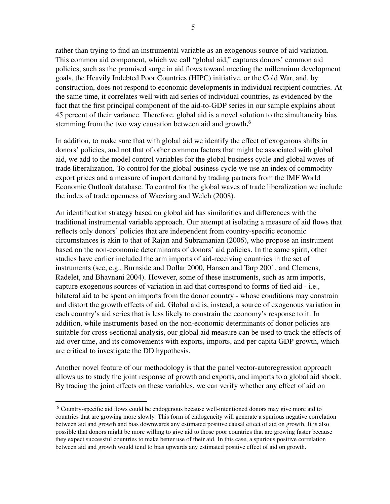rather than trying to find an instrumental variable as an exogenous source of aid variation. This common aid component, which we call "global aid," captures donors' common aid policies, such as the promised surge in aid flows toward meeting the millennium development goals, the Heavily Indebted Poor Countries (HIPC) initiative, or the Cold War, and, by construction, does not respond to economic developments in individual recipient countries. At the same time, it correlates well with aid series of individual countries, as evidenced by the fact that the first principal component of the aid-to-GDP series in our sample explains about 45 percent of their variance. Therefore, global aid is a novel solution to the simultaneity bias stemming from the two way causation between aid and growth.<sup>6</sup>

In addition, to make sure that with global aid we identify the effect of exogenous shifts in donors' policies, and not that of other common factors that might be associated with global aid, we add to the model control variables for the global business cycle and global waves of trade liberalization. To control for the global business cycle we use an index of commodity export prices and a measure of import demand by trading partners from the IMF World Economic Outlook database. To control for the global waves of trade liberalization we include the index of trade openness of Wacziarg and Welch (2008).

An identification strategy based on global aid has similarities and differences with the traditional instrumental variable approach. Our attempt at isolating a measure of aid flows that reflects only donors' policies that are independent from country-specific economic circumstances is akin to that of Rajan and Subramanian (2006), who propose an instrument based on the non-economic determinants of donors' aid policies. In the same spirit, other studies have earlier included the arm imports of aid-receiving countries in the set of instruments (see, e.g., Burnside and Dollar 2000, Hansen and Tarp 2001, and Clemens, Radelet, and Bhavnani 2004). However, some of these instruments, such as arm imports, capture exogenous sources of variation in aid that correspond to forms of tied aid - i.e., bilateral aid to be spent on imports from the donor country - whose conditions may constrain and distort the growth effects of aid. Global aid is, instead, a source of exogenous variation in each country's aid series that is less likely to constrain the economy's response to it. In addition, while instruments based on the non-economic determinants of donor policies are suitable for cross-sectional analysis, our global aid measure can be used to track the effects of aid over time, and its comovements with exports, imports, and per capita GDP growth, which are critical to investigate the DD hypothesis.

Another novel feature of our methodology is that the panel vector-autoregression approach allows us to study the joint response of growth and exports, and imports to a global aid shock. By tracing the joint effects on these variables, we can verify whether any effect of aid on

<sup>6</sup> Country-specific aid flows could be endogenous because well-intentioned donors may give more aid to countries that are growing more slowly. This form of endogeneity will generate a spurious negative correlation between aid and growth and bias downwards any estimated positive causal effect of aid on growth. It is also possible that donors might be more willing to give aid to those poor countries that are growing faster because they expect successful countries to make better use of their aid. In this case, a spurious positive correlation between aid and growth would tend to bias upwards any estimated positive effect of aid on growth.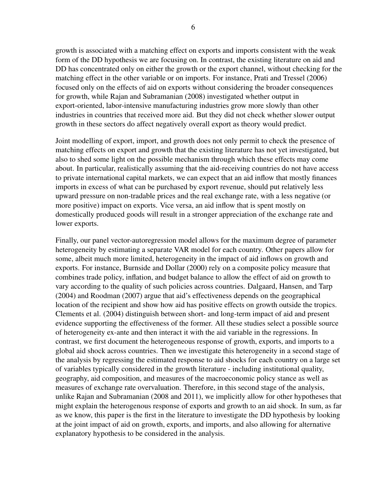growth is associated with a matching effect on exports and imports consistent with the weak form of the DD hypothesis we are focusing on. In contrast, the existing literature on aid and DD has concentrated only on either the growth or the export channel, without checking for the matching effect in the other variable or on imports. For instance, Prati and Tressel (2006) focused only on the effects of aid on exports without considering the broader consequences for growth, while Rajan and Subramanian (2008) investigated whether output in export-oriented, labor-intensive manufacturing industries grow more slowly than other industries in countries that received more aid. But they did not check whether slower output growth in these sectors do affect negatively overall export as theory would predict.

Joint modelling of export, import, and growth does not only permit to check the presence of matching effects on export and growth that the existing literature has not yet investigated, but also to shed some light on the possible mechanism through which these effects may come about. In particular, realistically assuming that the aid-receiving countries do not have access to private international capital markets, we can expect that an aid inflow that mostly finances imports in excess of what can be purchased by export revenue, should put relatively less upward pressure on non-tradable prices and the real exchange rate, with a less negative (or more positive) impact on exports. Vice versa, an aid inflow that is spent mostly on domestically produced goods will result in a stronger appreciation of the exchange rate and lower exports.

Finally, our panel vector-autoregression model allows for the maximum degree of parameter heterogeneity by estimating a separate VAR model for each country. Other papers allow for some, albeit much more limited, heterogeneity in the impact of aid inflows on growth and exports. For instance, Burnside and Dollar (2000) rely on a composite policy measure that combines trade policy, inflation, and budget balance to allow the effect of aid on growth to vary according to the quality of such policies across countries. Dalgaard, Hansen, and Tarp (2004) and Roodman (2007) argue that aid's effectiveness depends on the geographical location of the recipient and show how aid has positive effects on growth outside the tropics. Clements et al. (2004) distinguish between short- and long-term impact of aid and present evidence supporting the effectiveness of the former. All these studies select a possible source of heterogeneity ex-ante and then interact it with the aid variable in the regressions. In contrast, we first document the heterogeneous response of growth, exports, and imports to a global aid shock across countries. Then we investigate this heterogeneity in a second stage of the analysis by regressing the estimated response to aid shocks for each country on a large set of variables typically considered in the growth literature - including institutional quality, geography, aid composition, and measures of the macroeconomic policy stance as well as measures of exchange rate overvaluation. Therefore, in this second stage of the analysis, unlike Rajan and Subramanian (2008 and 2011), we implicitly allow for other hypotheses that might explain the heterogenous response of exports and growth to an aid shock. In sum, as far as we know, this paper is the first in the literature to investigate the DD hypothesis by looking at the joint impact of aid on growth, exports, and imports, and also allowing for alternative explanatory hypothesis to be considered in the analysis.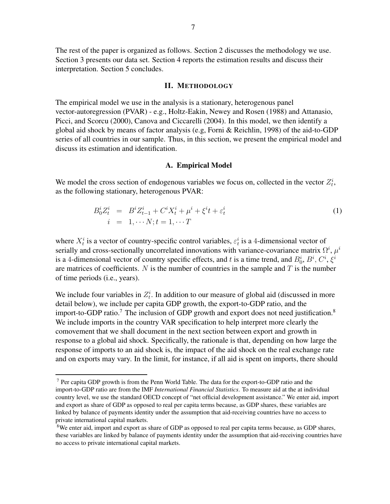The rest of the paper is organized as follows. Section 2 discusses the methodology we use. Section 3 presents our data set. Section 4 reports the estimation results and discuss their interpretation. Section 5 concludes.

#### II. METHODOLOGY

The empirical model we use in the analysis is a stationary, heterogenous panel vector-autoregression (PVAR) - e.g., Holtz-Eakin, Newey and Rosen (1988) and Attanasio, Picci, and Scorcu (2000), Canova and Ciccarelli (2004). In this model, we then identify a global aid shock by means of factor analysis (e.g, Forni & Reichlin, 1998) of the aid-to-GDP series of all countries in our sample. Thus, in this section, we present the empirical model and discuss its estimation and identification.

#### A. Empirical Model

We model the cross section of endogenous variables we focus on, collected in the vector  $Z_t^i$ , as the following stationary, heterogenous PVAR:

$$
B_0^i Z_t^i = B^i Z_{t-1}^i + C^i X_t^i + \mu^i + \xi^i t + \varepsilon_t^i
$$
  
\n $i = 1, \dots N; t = 1, \dots T$  (1)

where  $X_t^i$  is a vector of country-specific control variables,  $\varepsilon_t^i$  is a 4-dimensional vector of serially and cross-sectionally uncorrelated innovations with variance-covariance matrix  $\Omega^i$ ,  $\mu^i$ is a 4-dimensional vector of country specific effects, and *t* is a time trend, and  $B_0^i$ ,  $B^i$ ,  $C^i$ ,  $\xi^i$ are matrices of coefficients. *N* is the number of countries in the sample and *T* is the number of time periods (i.e., years).

We include four variables in  $Z_t^i$ . In addition to our measure of global aid (discussed in more detail below), we include per capita GDP growth, the export-to-GDP ratio, and the import-to-GDP ratio.<sup>7</sup> The inclusion of GDP growth and export does not need justification.<sup>8</sup> We include imports in the country VAR specification to help interpret more clearly the comovement that we shall document in the next section between export and growth in response to a global aid shock. Specifically, the rationale is that, depending on how large the response of imports to an aid shock is, the impact of the aid shock on the real exchange rate and on exports may vary. In the limit, for instance, if all aid is spent on imports, there should

<sup>7</sup> Per capita GDP growth is from the Penn World Table. The data for the export-to-GDP ratio and the import-to-GDP ratio are from the IMF *International Financial Statistics*. To measure aid at the at individual country level, we use the standard OECD concept of "net official development assistance." We enter aid, import and export as share of GDP as opposed to real per capita terms because, as GDP shares, these variables are linked by balance of payments identity under the assumption that aid-receiving countries have no access to private international capital markets.

<sup>&</sup>lt;sup>8</sup>We enter aid, import and export as share of GDP as opposed to real per capita terms because, as GDP shares, these variables are linked by balance of payments identity under the assumption that aid-receiving countries have no access to private international capital markets.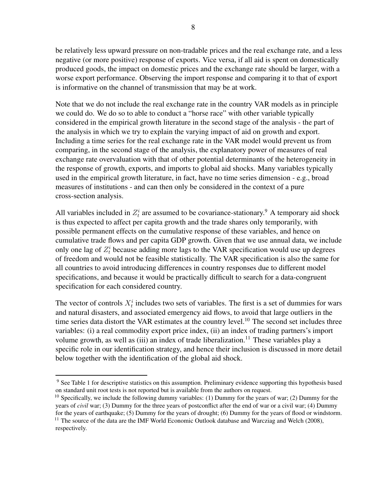be relatively less upward pressure on non-tradable prices and the real exchange rate, and a less negative (or more positive) response of exports. Vice versa, if all aid is spent on domestically produced goods, the impact on domestic prices and the exchange rate should be larger, with a worse export performance. Observing the import response and comparing it to that of export is informative on the channel of transmission that may be at work.

Note that we do not include the real exchange rate in the country VAR models as in principle we could do. We do so to able to conduct a "horse race" with other variable typically considered in the empirical growth literature in the second stage of the analysis - the part of the analysis in which we try to explain the varying impact of aid on growth and export. Including a time series for the real exchange rate in the VAR model would prevent us from comparing, in the second stage of the analysis, the explanatory power of measures of real exchange rate overvaluation with that of other potential determinants of the heterogeneity in the response of growth, exports, and imports to global aid shocks. Many variables typically used in the empirical growth literature, in fact, have no time series dimension - e.g., broad measures of institutions - and can then only be considered in the context of a pure cross-section analysis.

All variables included in  $Z_t^i$  are assumed to be covariance-stationary.<sup>9</sup> A temporary aid shock is thus expected to affect per capita growth and the trade shares only temporarily, with possible permanent effects on the cumulative response of these variables, and hence on cumulative trade flows and per capita GDP growth. Given that we use annual data, we include only one lag of  $Z_t^i$  because adding more lags to the VAR specification would use up degrees of freedom and would not be feasible statistically. The VAR specification is also the same for all countries to avoid introducing differences in country responses due to different model specifications, and because it would be practically difficult to search for a data-congruent specification for each considered country.

The vector of controls  $X_t^i$  includes two sets of variables. The first is a set of dummies for wars and natural disasters, and associated emergency aid flows, to avoid that large outliers in the time series data distort the VAR estimates at the country level.<sup>10</sup> The second set includes three variables: (i) a real commodity export price index, (ii) an index of trading partners's import volume growth, as well as (iii) an index of trade liberalization.<sup>11</sup> These variables play a specific role in our identification strategy, and hence their inclusion is discussed in more detail below together with the identification of the global aid shock.

<sup>9</sup> See Table 1 for descriptive statistics on this assumption. Preliminary evidence supporting this hypothesis based on standard unit root tests is not reported but is available from the authors on request.

 $10$  Specifically, we include the following dummy variables: (1) Dummy for the years of war; (2) Dummy for the years of *civil* war; (3) Dummy for the three years of postconflict after the end of war or a civil war; (4) Dummy for the years of earthquake; (5) Dummy for the years of drought; (6) Dummy for the years of flood or windstorm. <sup>11</sup> The source of the data are the IMF World Economic Outlook database and Warcziag and Welch (2008), respectively.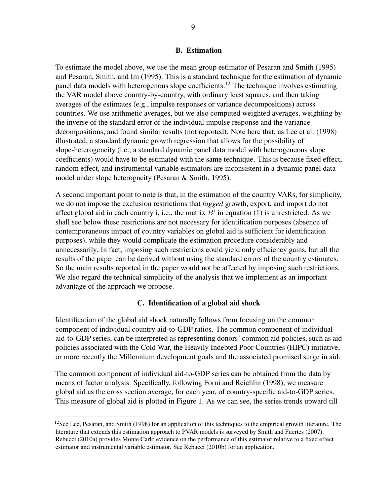#### B. Estimation

To estimate the model above, we use the mean group estimator of Pesaran and Smith (1995) and Pesaran, Smith, and Im (1995). This is a standard technique for the estimation of dynamic panel data models with heterogenous slope coefficients.<sup>12</sup> The technique involves estimating the VAR model above country-by-country, with ordinary least squares, and then taking averages of the estimates (e.g., impulse responses or variance decompositions) across countries. We use arithmetic averages, but we also computed weighted averages, weighting by the inverse of the standard error of the individual impulse response and the variance decompositions, and found similar results (not reported). Note here that, as Lee et al. (1998) illustrated, a standard dynamic growth regression that allows for the possibility of slope-heterogeneity (i.e., a standard dynamic panel data model with heterogeneous slope coefficients) would have to be estimated with the same technique. This is because fixed effect, random effect, and instrumental variable estimators are inconsistent in a dynamic panel data model under slope heterogneity (Pesaran & Smith, 1995).

A second important point to note is that, in the estimation of the country VARs, for simplicity, we do not impose the exclusion restrictions that *lagged* growth, export, and import do not affect global aid in each country i, i.e., the matrix  $B^i$  in equation (1) is unrestricted. As we shall see below these restrictions are not necessary for identification purposes (absence of contemporaneous impact of country variables on global aid is sufficient for identification purposes), while they would complicate the estimation procedure considerably and unnecessarily. In fact, imposing such restrictions could yield only efficiency gains, but all the results of the paper can be derived without using the standard errors of the country estimates. So the main results reported in the paper would not be affected by imposing such restrictions. We also regard the technical simplicity of the analysis that we implement as an important advantage of the approach we propose.

#### C. Identification of a global aid shock

Identification of the global aid shock naturally follows from focusing on the common component of individual country aid-to-GDP ratios. The common component of individual aid-to-GDP series, can be interpreted as representing donors' common aid policies, such as aid policies associated with the Cold War, the Heavily Indebted Poor Countries (HIPC) initiative, or more recently the Millennium development goals and the associated promised surge in aid.

The common component of individual aid-to-GDP series can be obtained from the data by means of factor analysis. Specifically, following Forni and Reichlin (1998), we measure global aid as the cross section average, for each year, of country-specific aid-to-GDP series. This measure of global aid is plotted in Figure 1. As we can see, the series trends upward till

 $12$ See Lee, Pesaran, and Smith (1998) for an application of this techniques to the empirical growth literature. The literature that extends this estimation approach to PVAR models is surveyed by Smith and Fuertes (2007). Rebucci (2010a) provides Monte Carlo evidence on the performance of this estimator relative to a fixed effect estimator and instrumental variable estimator. See Rebucci (2010b) for an application.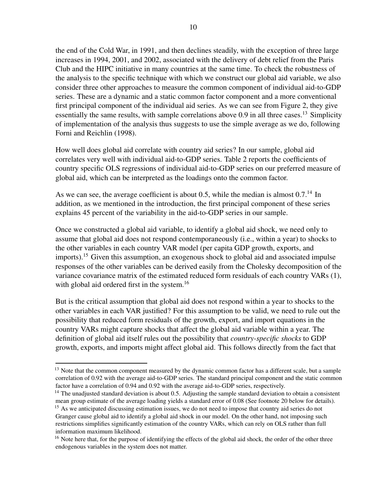the end of the Cold War, in 1991, and then declines steadily, with the exception of three large increases in 1994, 2001, and 2002, associated with the delivery of debt relief from the Paris Club and the HIPC initiative in many countries at the same time. To check the robustness of the analysis to the specific technique with which we construct our global aid variable, we also consider three other approaches to measure the common component of individual aid-to-GDP series. These are a dynamic and a static common factor component and a more conventional first principal component of the individual aid series. As we can see from Figure 2, they give essentially the same results, with sample correlations above 0.9 in all three cases.<sup>13</sup> Simplicity of implementation of the analysis thus suggests to use the simple average as we do, following Forni and Reichlin (1998).

How well does global aid correlate with country aid series? In our sample, global aid correlates very well with individual aid-to-GDP series. Table 2 reports the coefficients of country specific OLS regressions of individual aid-to-GDP series on our preferred measure of global aid, which can be interpreted as the loadings onto the common factor.

As we can see, the average coefficient is about 0.5, while the median is almost  $0.7^{14}$  In addition, as we mentioned in the introduction, the first principal component of these series explains 45 percent of the variability in the aid-to-GDP series in our sample.

Once we constructed a global aid variable, to identify a global aid shock, we need only to assume that global aid does not respond contemporaneously (i.e., within a year) to shocks to the other variables in each country VAR model (per capita GDP growth, exports, and imports).<sup>15</sup> Given this assumption, an exogenous shock to global aid and associated impulse responses of the other variables can be derived easily from the Cholesky decomposition of the variance covariance matrix of the estimated reduced form residuals of each country VARs (1), with global aid ordered first in the system.<sup>16</sup>

But is the critical assumption that global aid does not respond within a year to shocks to the other variables in each VAR justified? For this assumption to be valid, we need to rule out the possibility that reduced form residuals of the growth, export, and import equations in the country VARs might capture shocks that affect the global aid variable within a year. The definition of global aid itself rules out the possibility that *country-specific shocks* to GDP growth, exports, and imports might affect global aid. This follows directly from the fact that

<sup>&</sup>lt;sup>13</sup> Note that the common component measured by the dynamic common factor has a different scale, but a sample correlation of 0.92 with the average aid-to-GDP series. The standard principal component and the static common factor have a correlation of 0.94 and 0.92 with the average aid-to-GDP series, respectively.

 $<sup>14</sup>$  The unadjusted standard deviation is about 0.5. Adjusting the sample standard deviation to obtain a consistent</sup> mean group estimate of the average loading yields a standard error of 0.08 (See footnote 20 below for details).

<sup>&</sup>lt;sup>15</sup> As we anticipated discussing estimation issues, we do not need to impose that country aid series do not Granger cause global aid to identify a global aid shock in our model. On the other hand, not imposing such restrictions simplifies significantly estimation of the country VARs, which can rely on OLS rather than full information maximum likelihood.

<sup>&</sup>lt;sup>16</sup> Note here that, for the purpose of identifying the effects of the global aid shock, the order of the other three endogenous variables in the system does not matter.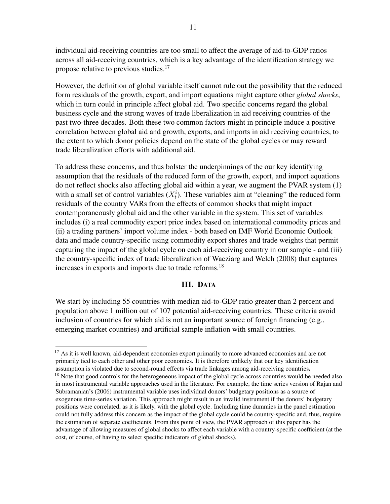individual aid-receiving countries are too small to affect the average of aid-to-GDP ratios across all aid-receiving countries, which is a key advantage of the identification strategy we propose relative to previous studies.<sup>17</sup>

However, the definition of global variable itself cannot rule out the possibility that the reduced form residuals of the growth, export, and import equations might capture other *global shocks*, which in turn could in principle affect global aid. Two specific concerns regard the global business cycle and the strong waves of trade liberalization in aid receiving countries of the past two-three decades. Both these two common factors might in principle induce a positive correlation between global aid and growth, exports, and imports in aid receiving countries, to the extent to which donor policies depend on the state of the global cycles or may reward trade liberalization efforts with additional aid.

To address these concerns, and thus bolster the underpinnings of the our key identifying assumption that the residuals of the reduced form of the growth, export, and import equations do not reflect shocks also affecting global aid within a year, we augment the PVAR system (1) with a small set of control variables  $(X_t^i)$ . These variables aim at "cleaning" the reduced form residuals of the country VARs from the effects of common shocks that might impact contemporaneously global aid and the other variable in the system. This set of variables includes (i) a real commodity export price index based on international commodity prices and (ii) a trading partners' import volume index - both based on IMF World Economic Outlook data and made country-specific using commodity export shares and trade weights that permit capturing the impact of the global cycle on each aid-receiving country in our sample - and (iii) the country-specific index of trade liberalization of Wacziarg and Welch (2008) that captures increases in exports and imports due to trade reforms.<sup>18</sup>

# III. DATA

We start by including 55 countries with median aid-to-GDP ratio greater than 2 percent and population above 1 million out of 107 potential aid-receiving countries. These criteria avoid inclusion of countries for which aid is not an important source of foreign financing (e.g., emerging market countries) and artificial sample inflation with small countries.

<sup>&</sup>lt;sup>17</sup> As it is well known, aid-dependent economies export primarily to more advanced economies and are not primarily tied to each other and other poor economies. It is therefore unlikely that our key identification assumption is violated due to second-round effects via trade linkages among aid-receiving countries. <sup>18</sup> Note that good controls for the heterogeneous impact of the global cycle across countries would be needed also in most instrumental variable approaches used in the literature. For example, the time series version of Rajan and Subramanian's (2006) instrumental variable uses individual donors' budgetary positions as a source of exogenous time-series variation. This approach might result in an invalid instrument if the donors' budgetary positions were correlated, as it is likely, with the global cycle. Including time dummies in the panel estimation could not fully address this concern as the impact of the global cycle could be country-specific and, thus, require the estimation of separate coefficients. From this point of view, the PVAR approach of this paper has the advantage of allowing measures of global shocks to affect each variable with a country-specific coefficient (at the cost, of course, of having to select specific indicators of global shocks).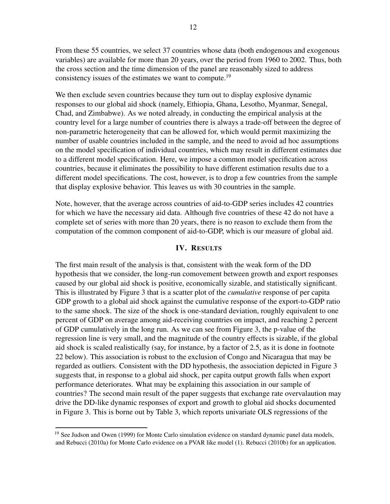From these 55 countries, we select 37 countries whose data (both endogenous and exogenous variables) are available for more than 20 years, over the period from 1960 to 2002. Thus, both the cross section and the time dimension of the panel are reasonably sized to address consistency issues of the estimates we want to compute.<sup>19</sup>

We then exclude seven countries because they turn out to display explosive dynamic responses to our global aid shock (namely, Ethiopia, Ghana, Lesotho, Myanmar, Senegal, Chad, and Zimbabwe). As we noted already, in conducting the empirical analysis at the country level for a large number of countries there is always a trade-off between the degree of non-parametric heterogeneity that can be allowed for, which would permit maximizing the number of usable countries included in the sample, and the need to avoid ad hoc assumptions on the model specification of individual countries, which may result in different estimates due to a different model specification. Here, we impose a common model specification across countries, because it eliminates the possibility to have different estimation results due to a different model specifications. The cost, however, is to drop a few countries from the sample that display explosive behavior. This leaves us with 30 countries in the sample.

Note, however, that the average across countries of aid-to-GDP series includes 42 countries for which we have the necessary aid data. Although five countries of these 42 do not have a complete set of series with more than 20 years, there is no reason to exclude them from the computation of the common component of aid-to-GDP, which is our measure of global aid.

#### IV. RESULTS

The first main result of the analysis is that, consistent with the weak form of the DD hypothesis that we consider, the long-run comovement between growth and export responses caused by our global aid shock is positive, economically sizable, and statistically significant. This is illustrated by Figure 3 that is a scatter plot of the *cumulative* response of per capita GDP growth to a global aid shock against the cumulative response of the export-to-GDP ratio to the same shock. The size of the shock is one-standard deviation, roughly equivalent to one percent of GDP on average among aid-receiving countries on impact, and reaching 2 percent of GDP cumulatively in the long run. As we can see from Figure 3, the p-value of the regression line is very small, and the magnitude of the country effects is sizable, if the global aid shock is scaled realistically (say, for instance, by a factor of 2.5, as it is done in footnote 22 below). This association is robust to the exclusion of Congo and Nicaragua that may be regarded as outliers. Consistent with the DD hypothesis, the association depicted in Figure 3 suggests that, in response to a global aid shock, per capita output growth falls when export performance deteriorates. What may be explaining this association in our sample of countries? The second main result of the paper suggests that exchange rate overvalaution may drive the DD-like dynamic responses of export and growth to global aid shocks documented in Figure 3. This is borne out by Table 3, which reports univariate OLS regressions of the

<sup>&</sup>lt;sup>19</sup> See Judson and Owen (1999) for Monte Carlo simulation evidence on standard dynamic panel data models, and Rebucci (2010a) for Monte Carlo evidence on a PVAR like model (1). Rebucci (2010b) for an application.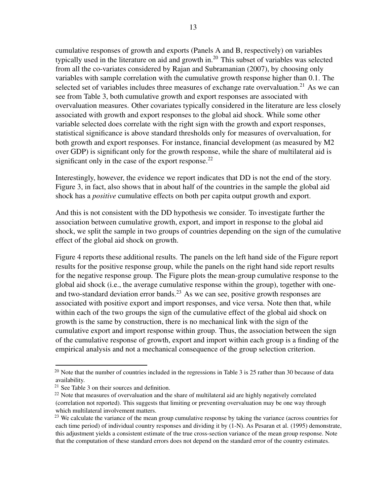cumulative responses of growth and exports (Panels A and B, respectively) on variables typically used in the literature on aid and growth in.<sup>20</sup> This subset of variables was selected from all the co-variates considered by Rajan and Subramanian (2007), by choosing only variables with sample correlation with the cumulative growth response higher than 0.1. The selected set of variables includes three measures of exchange rate overvaluation.<sup>21</sup> As we can see from Table 3, both cumulative growth and export responses are associated with overvaluation measures. Other covariates typically considered in the literature are less closely associated with growth and export responses to the global aid shock. While some other variable selected does correlate with the right sign with the growth and export responses, statistical significance is above standard thresholds only for measures of overvaluation, for both growth and export responses. For instance, financial development (as measured by M2 over GDP) is significant only for the growth response, while the share of multilateral aid is significant only in the case of the export response. $22$ 

Interestingly, however, the evidence we report indicates that DD is not the end of the story. Figure 3, in fact, also shows that in about half of the countries in the sample the global aid shock has a *positive* cumulative effects on both per capita output growth and export.

And this is not consistent with the DD hypothesis we consider. To investigate further the association between cumulative growth, export, and import in response to the global aid shock, we split the sample in two groups of countries depending on the sign of the cumulative effect of the global aid shock on growth.

Figure 4 reports these additional results. The panels on the left hand side of the Figure report results for the positive response group, while the panels on the right hand side report results for the negative response group. The Figure plots the mean-group cumulative response to the global aid shock (i.e., the average cumulative response within the group), together with oneand two-standard deviation error bands.<sup>23</sup> As we can see, positive growth responses are associated with positive export and import responses, and vice versa. Note then that, while within each of the two groups the sign of the cumulative effect of the global aid shock on growth is the same by construction, there is no mechanical link with the sign of the cumulative export and import response within group. Thus, the association between the sign of the cumulative response of growth, export and import within each group is a finding of the empirical analysis and not a mechanical consequence of the group selection criterion.

<sup>&</sup>lt;sup>20</sup> Note that the number of countries included in the regressions in Table 3 is 25 rather than 30 because of data availability.

<sup>21</sup> See Table 3 on their sources and definition.

<sup>&</sup>lt;sup>22</sup> Note that measures of overvaluation and the share of multilateral aid are highly negatively correlated (correlation not reported). This suggests that limiting or preventing overvaluation may be one way through which multilateral involvement matters.

<sup>&</sup>lt;sup>23</sup> We calculate the variance of the mean group cumulative response by taking the variance (across countries for each time period) of individual country responses and dividing it by (1-N). As Pesaran et al. (1995) demonstrate, this adjustment yields a consistent estimate of the true cross-section variance of the mean group response. Note that the computation of these standard errors does not depend on the standard error of the country estimates.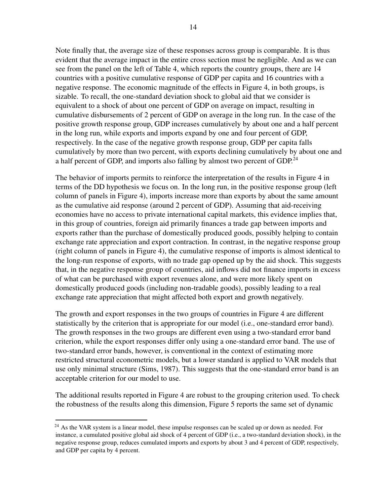Note finally that, the average size of these responses across group is comparable. It is thus evident that the average impact in the entire cross section must be negligible. And as we can see from the panel on the left of Table 4, which reports the country groups, there are 14 countries with a positive cumulative response of GDP per capita and 16 countries with a negative response. The economic magnitude of the effects in Figure 4, in both groups, is sizable. To recall, the one-standard deviation shock to global aid that we consider is equivalent to a shock of about one percent of GDP on average on impact, resulting in cumulative disbursements of 2 percent of GDP on average in the long run. In the case of the positive growth response group, GDP increases cumulatively by about one and a half percent in the long run, while exports and imports expand by one and four percent of GDP, respectively. In the case of the negative growth response group, GDP per capita falls cumulatively by more than two percent, with exports declining cumulatively by about one and a half percent of GDP, and imports also falling by almost two percent of GDP.<sup>24</sup>

The behavior of imports permits to reinforce the interpretation of the results in Figure 4 in terms of the DD hypothesis we focus on. In the long run, in the positive response group (left column of panels in Figure 4), imports increase more than exports by about the same amount as the cumulative aid response (around 2 percent of GDP). Assuming that aid-receiving economies have no access to private international capital markets, this evidence implies that, in this group of countries, foreign aid primarily finances a trade gap between imports and exports rather than the purchase of domestically produced goods, possibly helping to contain exchange rate appreciation and export contraction. In contrast, in the negative response group (right column of panels in Figure 4), the cumulative response of imports is almost identical to the long-run response of exports, with no trade gap opened up by the aid shock. This suggests that, in the negative response group of countries, aid inflows did not finance imports in excess of what can be purchased with export revenues alone, and were more likely spent on domestically produced goods (including non-tradable goods), possibly leading to a real exchange rate appreciation that might affected both export and growth negatively.

The growth and export responses in the two groups of countries in Figure 4 are different statistically by the criterion that is appropriate for our model (i.e., one-standard error band). The growth responses in the two groups are different even using a two-standard error band criterion, while the export responses differ only using a one-standard error band. The use of two-standard error bands, however, is conventional in the context of estimating more restricted structural econometric models, but a lower standard is applied to VAR models that use only minimal structure (Sims, 1987). This suggests that the one-standard error band is an acceptable criterion for our model to use.

The additional results reported in Figure 4 are robust to the grouping criterion used. To check the robustness of the results along this dimension, Figure 5 reports the same set of dynamic

 $^{24}$  As the VAR system is a linear model, these impulse responses can be scaled up or down as needed. For instance, a cumulated positive global aid shock of 4 percent of GDP (i.e., a two-standard deviation shock), in the negative response group, reduces cumulated imports and exports by about 3 and 4 percent of GDP, respectively, and GDP per capita by 4 percent.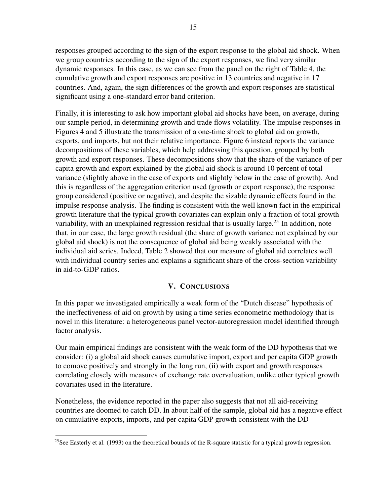responses grouped according to the sign of the export response to the global aid shock. When we group countries according to the sign of the export responses, we find very similar dynamic responses. In this case, as we can see from the panel on the right of Table 4, the cumulative growth and export responses are positive in 13 countries and negative in 17 countries. And, again, the sign differences of the growth and export responses are statistical significant using a one-standard error band criterion.

Finally, it is interesting to ask how important global aid shocks have been, on average, during our sample period, in determining growth and trade flows volatility. The impulse responses in Figures 4 and 5 illustrate the transmission of a one-time shock to global aid on growth, exports, and imports, but not their relative importance. Figure 6 instead reports the variance decompositions of these variables, which help addressing this question, grouped by both growth and export responses. These decompositions show that the share of the variance of per capita growth and export explained by the global aid shock is around 10 percent of total variance (slightly above in the case of exports and slightly below in the case of growth). And this is regardless of the aggregation criterion used (growth or export response), the response group considered (positive or negative), and despite the sizable dynamic effects found in the impulse response analysis. The finding is consistent with the well known fact in the empirical growth literature that the typical growth covariates can explain only a fraction of total growth variability, with an unexplained regression residual that is usually large.<sup>25</sup> In addition, note that, in our case, the large growth residual (the share of growth variance not explained by our global aid shock) is not the consequence of global aid being weakly associated with the individual aid series. Indeed, Table 2 showed that our measure of global aid correlates well with individual country series and explains a significant share of the cross-section variability in aid-to-GDP ratios.

# V. CONCLUSIONS

In this paper we investigated empirically a weak form of the "Dutch disease" hypothesis of the ineffectiveness of aid on growth by using a time series econometric methodology that is novel in this literature: a heterogeneous panel vector-autoregression model identified through factor analysis.

Our main empirical findings are consistent with the weak form of the DD hypothesis that we consider: (i) a global aid shock causes cumulative import, export and per capita GDP growth to comove positively and strongly in the long run, (ii) with export and growth responses correlating closely with measures of exchange rate overvaluation, unlike other typical growth covariates used in the literature.

Nonetheless, the evidence reported in the paper also suggests that not all aid-receiving countries are doomed to catch DD. In about half of the sample, global aid has a negative effect on cumulative exports, imports, and per capita GDP growth consistent with the DD

<sup>&</sup>lt;sup>25</sup>See Easterly et al. (1993) on the theoretical bounds of the R-square statistic for a typical growth regression.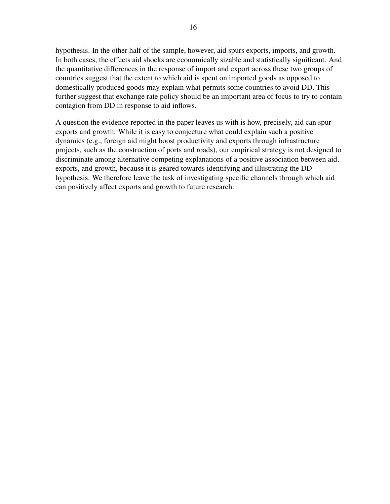hypothesis. In the other half of the sample, however, aid spurs exports, imports, and growth. In both cases, the effects aid shocks are economically sizable and statistically significant. And the quantitative differences in the response of import and export across these two groups of countries suggest that the extent to which aid is spent on imported goods as opposed to domestically produced goods may explain what permits some countries to avoid DD. This further suggest that exchange rate policy should be an important area of focus to try to contain contagion from DD in response to aid inflows.

A question the evidence reported in the paper leaves us with is how, precisely, aid can spur exports and growth. While it is easy to conjecture what could explain such a positive dynamics (e.g., foreign aid might boost productivity and exports through infrastructure projects, such as the construction of ports and roads), our empirical strategy is not designed to discriminate among alternative competing explanations of a positive association between aid, exports, and growth, because it is geared towards identifying and illustrating the DD hypothesis. We therefore leave the task of investigating specific channels through which aid can positively affect exports and growth to future research.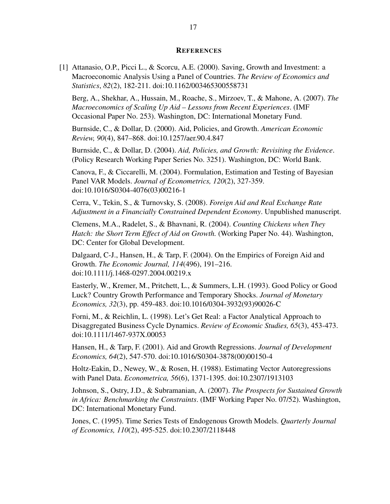#### **REFERENCES**

[1] Attanasio, O.P., Picci L., & Scorcu, A.E. (2000). Saving, Growth and Investment: a Macroeconomic Analysis Using a Panel of Countries. *The Review of Economics and Statistics*, *82*(2), 182-211. doi:10.1162/003465300558731

Berg, A., Shekhar, A., Hussain, M., Roache, S., Mirzoev, T., & Mahone, A. (2007). *The Macroeconomics of Scaling Up Aid – Lessons from Recent Experiences*. (IMF Occasional Paper No. 253). Washington, DC: International Monetary Fund.

Burnside, C., & Dollar, D. (2000). Aid, Policies, and Growth. *American Economic Review, 90*(4), 847–868. doi:10.1257/aer.90.4.847

Burnside, C., & Dollar, D. (2004). *Aid, Policies, and Growth: Revisiting the Evidence*. (Policy Research Working Paper Series No. 3251). Washington, DC: World Bank.

Canova, F., & Ciccarelli, M. (2004). Formulation, Estimation and Testing of Bayesian Panel VAR Models. *Journal of Econometrics, 120*(2), 327-359. doi:10.1016/S0304-4076(03)00216-1

Cerra, V., Tekin, S., & Turnovsky, S. (2008). *Foreign Aid and Real Exchange Rate Adjustment in a Financially Constrained Dependent Economy*. Unpublished manuscript.

Clemens, M.A., Radelet, S., & Bhavnani, R. (2004). *Counting Chickens when They Hatch: the Short Term Effect of Aid on Growth.* (Working Paper No. 44). Washington, DC: Center for Global Development.

Dalgaard, C-J., Hansen, H., & Tarp, F. (2004). On the Empirics of Foreign Aid and Growth. *The Economic Journal, 114*(496), 191–216. doi:10.1111/j.1468-0297.2004.00219.x

Easterly, W., Kremer, M., Pritchett, L., & Summers, L.H. (1993). Good Policy or Good Luck? Country Growth Performance and Temporary Shocks. *Journal of Monetary Economics, 32*(3), pp. 459-483. doi:10.1016/0304-3932(93)90026-C

Forni, M., & Reichlin, L. (1998). Let's Get Real: a Factor Analytical Approach to Disaggregated Business Cycle Dynamics. *Review of Economic Studies, 65*(3), 453-473. doi:10.1111/1467-937X.00053

Hansen, H., & Tarp, F. (2001). Aid and Growth Regressions. *Journal of Development Economics, 64*(2), 547-570. doi:10.1016/S0304-3878(00)00150-4

Holtz-Eakin, D., Newey, W., & Rosen, H. (1988). Estimating Vector Autoregressions with Panel Data. *Econometrica, 56*(6), 1371-1395. doi:10.2307/1913103

Johnson, S., Ostry, J.D., & Subramanian, A. (2007). *The Prospects for Sustained Growth in Africa: Benchmarking the Constraints*. (IMF Working Paper No. 07/52). Washington, DC: International Monetary Fund.

Jones, C. (1995). Time Series Tests of Endogenous Growth Models. *Quarterly Journal of Economics, 110*(2), 495-525. doi:10.2307/2118448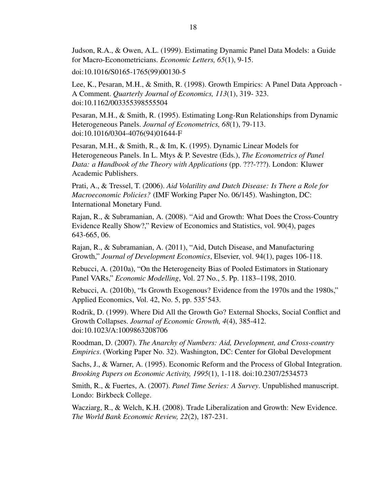Judson, R.A., & Owen, A.L. (1999). Estimating Dynamic Panel Data Models: a Guide for Macro-Econometricians. *Economic Letters, 65*(1), 9-15.

doi:10.1016/S0165-1765(99)00130-5

Lee, K., Pesaran, M.H., & Smith, R. (1998). Growth Empirics: A Panel Data Approach - A Comment. *Quarterly Journal of Economics, 113*(1), 319- 323. doi:10.1162/003355398555504

Pesaran, M.H., & Smith, R. (1995). Estimating Long-Run Relationships from Dynamic Heterogeneous Panels. *Journal of Econometrics, 68*(1), 79-113. doi:10.1016/0304-4076(94)01644-F

Pesaran, M.H., & Smith, R., & Im, K. (1995). Dynamic Linear Models for Heterogeneous Panels. In L. Mtys & P. Sevestre (Eds.), *The Econometrics of Panel Data: a Handbook of the Theory with Applications* (pp. ???-???). London: Kluwer Academic Publishers.

Prati, A., & Tressel, T. (2006). *Aid Volatility and Dutch Disease: Is There a Role for Macroeconomic Policies?* (IMF Working Paper No. 06/145). Washington, DC: International Monetary Fund.

Rajan, R., & Subramanian, A. (2008). "Aid and Growth: What Does the Cross-Country Evidence Really Show?," Review of Economics and Statistics, vol. 90(4), pages 643-665, 06.

Rajan, R., & Subramanian, A. (2011), "Aid, Dutch Disease, and Manufacturing Growth," *Journal of Development Economics*, Elsevier, vol. 94(1), pages 106-118.

Rebucci, A. (2010a), "On the Heterogeneity Bias of Pooled Estimators in Stationary Panel VARs," *Economic Modelling*, Vol. 27 No., 5. Pp. 1183–1198, 2010.

Rebucci, A. (2010b), "Is Growth Exogenous? Evidence from the 1970s and the 1980s," Applied Economics, Vol. 42, No. 5, pp. 535'543.

Rodrik, D. (1999). Where Did All the Growth Go? External Shocks, Social Conflict and Growth Collapses. *Journal of Economic Growth, 4*(4), 385-412. doi:10.1023/A:1009863208706

Roodman, D. (2007). *The Anarchy of Numbers: Aid, Development, and Cross-country Empirics*. (Working Paper No. 32). Washington, DC: Center for Global Development

Sachs, J., & Warner, A. (1995). Economic Reform and the Process of Global Integration. *Brooking Papers on Economic Activity, 1995*(1), 1-118. doi:10.2307/2534573

Smith, R., & Fuertes, A. (2007). *Panel Time Series: A Survey*. Unpublished manuscript. Londo: Birkbeck College.

Wacziarg, R., & Welch, K.H. (2008). Trade Liberalization and Growth: New Evidence. *The World Bank Economic Review, 22*(2), 187-231.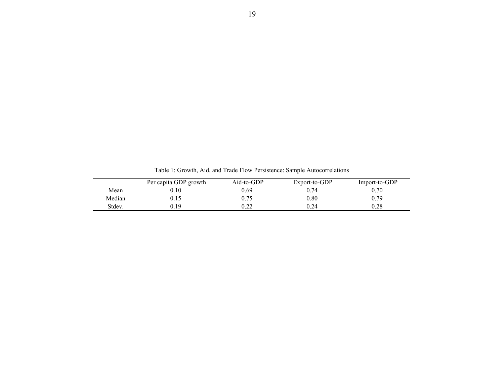|        | Per capita GDP growth | Aid-to-GDP | Export-to-GDP | Import-to-GDP |
|--------|-----------------------|------------|---------------|---------------|
| Mean   | 0.10                  | 0.69       | 0.74          | 0.70          |
| Median | 0.15                  | 0.75       | 0.80          | 0.79          |
| Stdev. | 0.19                  | 0.22       | 0.24          | 0.28          |

Table 1: Growth, Aid, and Trade Flow Persistence: Sample Autocorrelations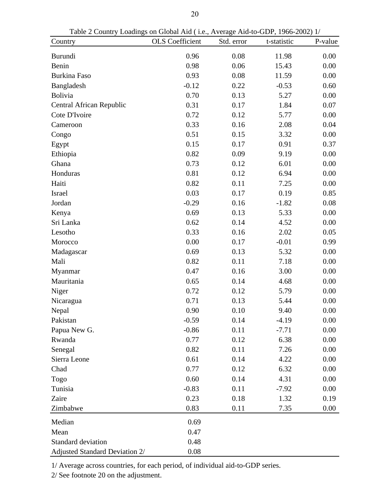| Table 2 Country Loadings on Global Aid (1.e., Average Aid-to-GDP, 1966-2002) 1/ |                        |            |             |         |
|---------------------------------------------------------------------------------|------------------------|------------|-------------|---------|
| Country                                                                         | <b>OLS</b> Coefficient | Std. error | t-statistic | P-value |
| <b>Burundi</b>                                                                  | 0.96                   | 0.08       | 11.98       | 0.00    |
| Benin                                                                           | 0.98                   | 0.06       | 15.43       | 0.00    |
| <b>Burkina Faso</b>                                                             | 0.93                   | 0.08       | 11.59       | 0.00    |
| Bangladesh                                                                      | $-0.12$                | 0.22       | $-0.53$     | 0.60    |
| <b>Bolivia</b>                                                                  | 0.70                   | 0.13       | 5.27        | 0.00    |
| Central African Republic                                                        | 0.31                   | 0.17       | 1.84        | 0.07    |
| Cote D'Ivoire                                                                   | 0.72                   | 0.12       | 5.77        | 0.00    |
| Cameroon                                                                        | 0.33                   | 0.16       | 2.08        | 0.04    |
| Congo                                                                           | 0.51                   | 0.15       | 3.32        | 0.00    |
| Egypt                                                                           | 0.15                   | 0.17       | 0.91        | 0.37    |
| Ethiopia                                                                        | 0.82                   | 0.09       | 9.19        | 0.00    |
| Ghana                                                                           | 0.73                   | 0.12       | 6.01        | 0.00    |
| Honduras                                                                        | 0.81                   | 0.12       | 6.94        | 0.00    |
| Haiti                                                                           | 0.82                   | 0.11       | 7.25        | 0.00    |
| Israel                                                                          | 0.03                   | 0.17       | 0.19        | 0.85    |
| Jordan                                                                          | $-0.29$                | 0.16       | $-1.82$     | 0.08    |
| Kenya                                                                           | 0.69                   | 0.13       | 5.33        | 0.00    |
| Sri Lanka                                                                       | 0.62                   | 0.14       | 4.52        | 0.00    |
| Lesotho                                                                         | 0.33                   | 0.16       | 2.02        | 0.05    |
| Morocco                                                                         | 0.00                   | 0.17       | $-0.01$     | 0.99    |
| Madagascar                                                                      | 0.69                   | 0.13       | 5.32        | 0.00    |
| Mali                                                                            | 0.82                   | 0.11       | 7.18        | 0.00    |
| Myanmar                                                                         | 0.47                   | 0.16       | 3.00        | 0.00    |
| Mauritania                                                                      | 0.65                   | 0.14       | 4.68        | 0.00    |
| Niger                                                                           | 0.72                   | 0.12       | 5.79        | 0.00    |
| Nicaragua                                                                       | 0.71                   | 0.13       | 5.44        | 0.00    |
| Nepal                                                                           | 0.90                   | 0.10       | 9.40        | 0.00    |
| Pakistan                                                                        | $-0.59$                | 0.14       | $-4.19$     | 0.00    |
| Papua New G.                                                                    | $-0.86$                | 0.11       | $-7.71$     | 0.00    |
| Rwanda                                                                          | 0.77                   | 0.12       | 6.38        | 0.00    |
| Senegal                                                                         | 0.82                   | 0.11       | 7.26        | 0.00    |
| Sierra Leone                                                                    | 0.61                   | 0.14       | 4.22        | 0.00    |
| Chad                                                                            | 0.77                   | 0.12       | 6.32        | 0.00    |
| Togo                                                                            | 0.60                   | 0.14       | 4.31        | 0.00    |
| Tunisia                                                                         | $-0.83$                | 0.11       | $-7.92$     | 0.00    |
| Zaire                                                                           | 0.23                   | 0.18       | 1.32        | 0.19    |
| Zimbabwe                                                                        | 0.83                   | 0.11       | 7.35        | 0.00    |
| Median                                                                          | 0.69                   |            |             |         |
| Mean                                                                            | 0.47                   |            |             |         |
| <b>Standard deviation</b>                                                       | 0.48                   |            |             |         |
| Adjusted Standard Deviation 2/                                                  | 0.08                   |            |             |         |

Table 2 Country Loadings on Global Aid ( i.e., Average Aid-to-GDP, 1966-2002) 1/

1/ Average across countries, for each period, of individual aid-to-GDP series.

2/ See footnote 20 on the adjustment.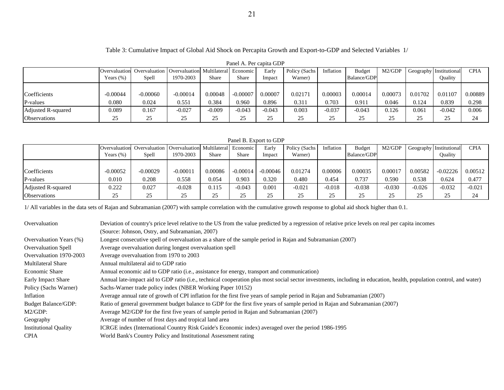#### Table 3: Cumulative Impact of Global Aid Shock on Percapita Growth and Export-to-GDP and Selected Variables 1/

| I aiki A. I vi vapna UDI |               |                                                         |            |                            |            |          |               |           |                    |         |         |                         |             |
|--------------------------|---------------|---------------------------------------------------------|------------|----------------------------|------------|----------|---------------|-----------|--------------------|---------|---------|-------------------------|-------------|
|                          | Overvaluation | Overvaluation   Overvaluation   Multilateral   Economic |            |                            |            | Early    | Policy (Sachs | Inflation | Budget             | M2/GDP  |         | Geography Institutional | <b>CPIA</b> |
|                          | Years $(\%)$  | Spell                                                   | 1970-2003  | Share                      | Share      | Impact   | Warner)       |           | <b>Balance/GDP</b> |         |         | Ouality                 |             |
|                          |               |                                                         |            |                            |            |          |               |           |                    |         |         |                         |             |
| Coefficients             | $-0.00044$    | $-0.00060$                                              | $-0.00014$ | 0.00048                    | $-0.00007$ | 0.00007  | 0.02171       | 0.00003   | 0.00014            | 0.00073 | 0.01702 | 0.01107                 | 0.00889     |
| P-values                 | 0.080         | 0.024                                                   | 0.551      | 0.384                      | 0.960      | 0.896    | 0.311         | 0.703     | 0.911              | 0.046   | 0.124   | 0.839                   | 0.298       |
| Adjusted R-squared       | 0.089         | 0.167                                                   | $-0.027$   | $-0.009$                   | $-0.043$   | $-0.043$ | 0.003         | $-0.037$  | $-0.043$           | 0.126   | 0.061   | $-0.042$                | 0.006       |
| Observations             | 25            | 25                                                      | つく<br>د∠   | $\gamma$ $\epsilon$<br>ر_ر | つべ<br>ت    | 25       | 25            | 25        | 25                 | 25      | 25      | 25                      | 24          |

#### Panel A. Per capita GDP

#### Panel B. Export to GDP

|                     |              | <b>Overvaluation</b> Overvaluation Overvaluation Multilateral Economic |           |         |            | Early      | Policy (Sachs | Inflation | Budget      | M2/GDP   |          | Geography Institutional | CPIA     |
|---------------------|--------------|------------------------------------------------------------------------|-----------|---------|------------|------------|---------------|-----------|-------------|----------|----------|-------------------------|----------|
|                     | Years $(\%)$ | Spell                                                                  | 1970-2003 | Share   | Share      | Impact     | Warner)       |           | Balance/GDP |          |          | <b>Ouality</b>          |          |
|                     |              |                                                                        |           |         |            |            |               |           |             |          |          |                         |          |
| Coefficients        | $-0.00052$   | $-0.00029$                                                             | 0.00011   | 0.00086 | $-0.00014$ | $-0.00046$ | 0.01274       | 0.00006   | 0.00035     | 0.00017  | 0.00582  | $-0.02226$              | 0.00512  |
| P-values            | 0.010        | 0.208                                                                  | 0.558     | 0.054   | 0.903      | 0.320      | 0.480         | 0.454     | 0.737       | 0.590    | 0.538    | 0.624                   | 0.477    |
| Adjusted R-squared  | 0.222        | 0.027                                                                  | $-0.028$  | 0.115   | $-0.043$   | 0.001      | $-0.021$      | $-0.018$  | $-0.038$    | $-0.030$ | $-0.026$ | $-0.032$                | $-0.021$ |
| <b>Observations</b> | 25           | 25                                                                     | 25        | つぐ      | つべ<br>ر_   | رے         | 25            | 25        | 25          |          | つう<br>رے | 25                      | 24       |

1/ All variables in the data sets of Rajan and Subramanian (2007) with sample correlation with the cumulative growth response to global aid shock higher than 0.1.

| Overvaluation                | Deviation of country's price level relative to the US from the value predicted by a regression of relative price levels on real per capita incomes                   |
|------------------------------|----------------------------------------------------------------------------------------------------------------------------------------------------------------------|
|                              | (Source: Johnson, Ostry, and Subramanian, 2007)                                                                                                                      |
| Overvaluation Years (%)      | Longest consecutive spell of overvaluation as a share of the sample period in Rajan and Subramanian (2007)                                                           |
| <b>Overvaluation Spell</b>   | Average overvaluation during longest overvaluation spell                                                                                                             |
| Overvaluation 1970-2003      | Average overvaluation from 1970 to 2003                                                                                                                              |
| <b>Multilateral Share</b>    | Annual multilateral aid to GDP ratio                                                                                                                                 |
| <b>Economic Share</b>        | Annual economic aid to GDP ratio (i.e., assistance for energy, transport and communication)                                                                          |
| <b>Early Impact Share</b>    | Annual late-impact aid to GDP ratio (i.e., technical cooperation plus most social sector investments, including in education, health, population control, and water) |
| Policy (Sachs Warner)        | Sachs-Warner trade policy index (NBER Working Paper 10152)                                                                                                           |
| Inflation                    | Average annual rate of growth of CPI inflation for the first five years of sample period in Rajan and Subramanian (2007)                                             |
| <b>Budget Balance/GDP:</b>   | Ratio of general government budget balance to GDP for the first five years of sample period in Rajan and Subramanian (2007)                                          |
| M2/GDP:                      | Average M2/GDP for the first five years of sample period in Rajan and Subramanian (2007)                                                                             |
| Geography                    | Average of number of frost days and tropical land area                                                                                                               |
| <b>Institutional Quality</b> | ICRGE index (International Country Risk Guide's Economic index) averaged over the period 1986-1995                                                                   |
| <b>CPIA</b>                  | World Bank's Country Policy and Institutional Assessment rating                                                                                                      |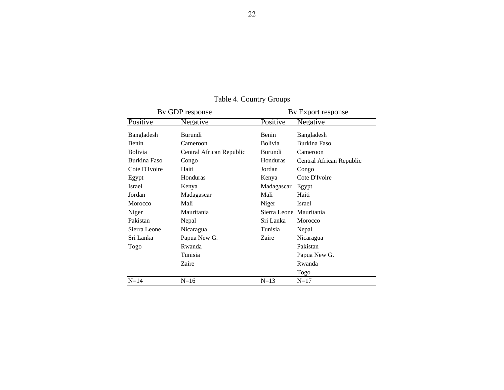|                | By GDP response          |                         | By Export response       |
|----------------|--------------------------|-------------------------|--------------------------|
| Positive       | <u>Negative</u>          | Positive                | Negative                 |
| Bangladesh     | Burundi                  | Benin                   | Bangladesh               |
| Benin          | Cameroon                 | Bolivia                 | Burkina Faso             |
| <b>Bolivia</b> | Central African Republic | Burundi                 | Cameroon                 |
| Burkina Faso   | Congo                    | Honduras                | Central African Republic |
| Cote D'Ivoire  | Haiti                    | Jordan                  | Congo                    |
| Egypt          | Honduras                 | Kenya                   | Cote D'Ivoire            |
| Israel         | Kenya                    | Madagascar              | Egypt                    |
| Jordan         | Madagascar               | Mali                    | Haiti                    |
| Morocco        | Mali                     | Niger                   | <b>Israel</b>            |
| Niger          | Mauritania               | Sierra Leone Mauritania |                          |
| Pakistan       | Nepal                    | Sri Lanka               | Morocco                  |
| Sierra Leone   | Nicaragua                | Tunisia                 | Nepal                    |
| Sri Lanka      | Papua New G.             | Zaire                   | Nicaragua                |
| Togo           | Rwanda                   |                         | Pakistan                 |
|                | Tunisia                  |                         | Papua New G.             |
|                | Zaire                    |                         | Rwanda                   |
|                |                          |                         | Togo                     |
| $N = 14$       | $N=16$                   | $N=13$                  | $N=17$                   |

Table 4. Country Groups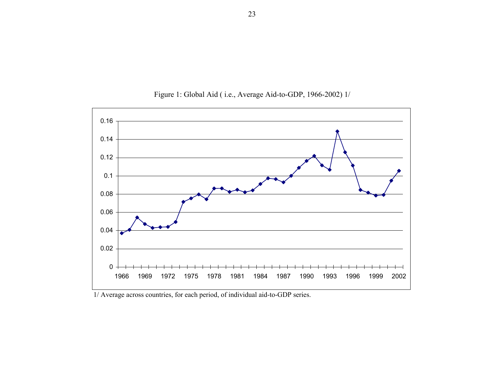

Figure 1: Global Aid ( i.e., Average Aid-to-GDP, 1966-2002) 1/

1/ Average across countries, for each period, of individual aid-to-GDP series.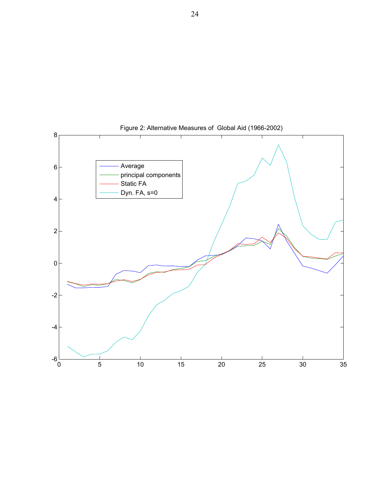

Figure 2: Alternative Measures of Global Aid (1966-2002)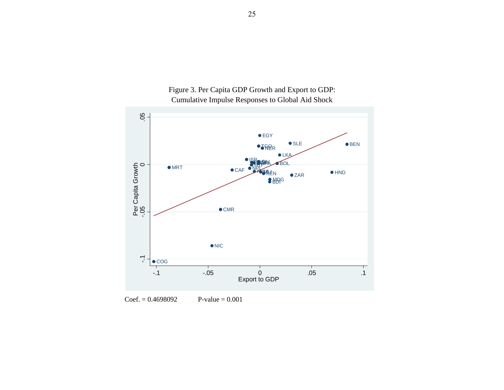

Figure 3. Per Capita GDP Growth and Export to GDP: Cumulative Impulse Responses to Global Aid Shock

 $Coef. = 0.4698092$  $P-value = 0.001$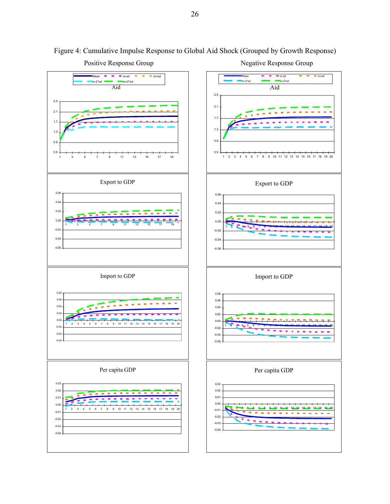

Figure 4: Cumulative Impulse Response to Global Aid Shock (Grouped by Growth Response)

26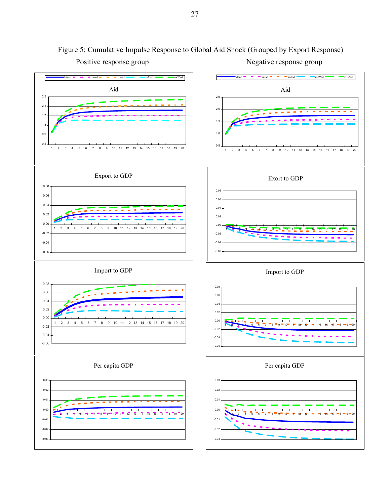

Positive response group Negative response group Figure 5: Cumulative Impulse Response to Global Aid Shock (Grouped by Export Response)